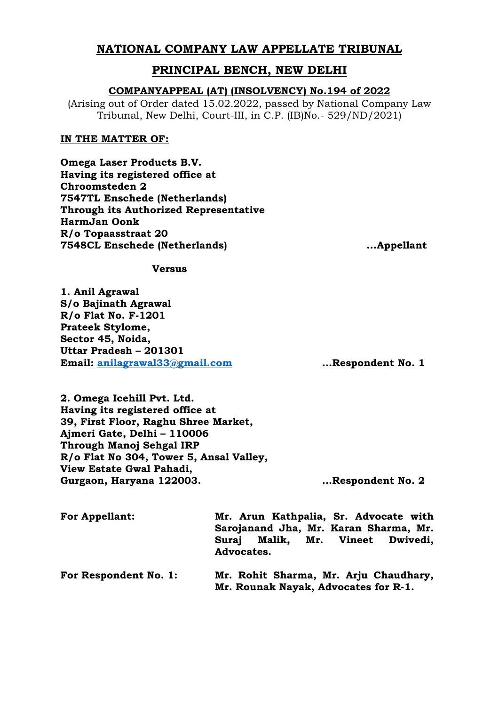# **NATIONAL COMPANY LAW APPELLATE TRIBUNAL**

# **PRINCIPAL BENCH, NEW DELHI**

# **COMPANYAPPEAL (AT) (INSOLVENCY) No.194 of 2022**

(Arising out of Order dated 15.02.2022, passed by National Company Law Tribunal, New Delhi, Court-III, in C.P. (IB)No.- 529/ND/2021)

### **IN THE MATTER OF:**

**Omega Laser Products B.V. Having its registered office at Chroomsteden 2 7547TL Enschede (Netherlands) Through its Authorized Representative HarmJan Oonk R/o Topaasstraat 20 7548CL Enschede (Netherlands) ...Appellant**

**Versus**

**1. Anil Agrawal S/o Bajinath Agrawal R/o Flat No. F-1201 Prateek Stylome, Sector 45, Noida, Uttar Pradesh – 201301 Email: [anilagrawal33@gmail.com](mailto:anilagrawal33@gmail.com) …Respondent No. 1**

**2. Omega Icehill Pvt. Ltd. Having its registered office at 39, First Floor, Raghu Shree Market, Ajmeri Gate, Delhi – 110006 Through Manoj Sehgal IRP R/o Flat No 304, Tower 5, Ansal Valley, View Estate Gwal Pahadi, Gurgaon, Haryana 122003. …Respondent No. 2**

| <b>For Appellant:</b> | Mr. Arun Kathpalia, Sr. Advocate with<br>Sarojanand Jha, Mr. Karan Sharma, Mr. |  |  |  |
|-----------------------|--------------------------------------------------------------------------------|--|--|--|
|                       | Suraj Malik, Mr. Vineet Dwivedi,<br>Advocates.                                 |  |  |  |
| For Respondent No. 1: | Mr. Rohit Sharma, Mr. Arju Chaudhary,<br>Mr. Rounak Nayak, Advocates for R-1.  |  |  |  |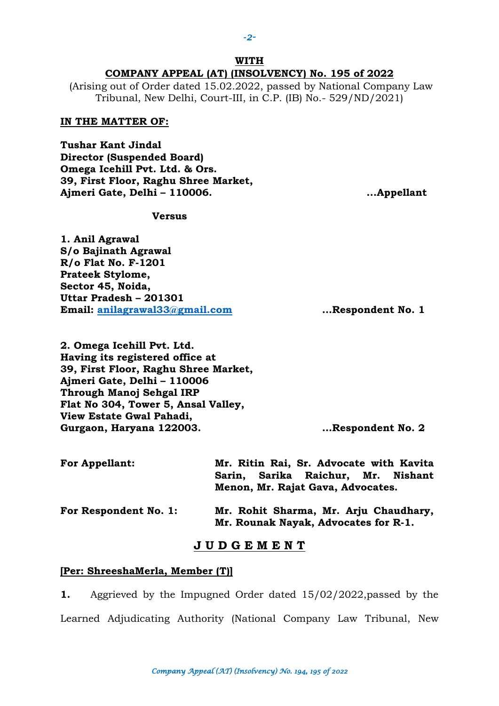## **WITH COMPANY APPEAL (AT) (INSOLVENCY) No. 195 of 2022**

(Arising out of Order dated 15.02.2022, passed by National Company Law Tribunal, New Delhi, Court-III, in C.P. (IB) No.- 529/ND/2021)

#### **IN THE MATTER OF:**

**Tushar Kant Jindal Director (Suspended Board) Omega Icehill Pvt. Ltd. & Ors. 39, First Floor, Raghu Shree Market, Ajmeri Gate, Delhi – 110006. ...Appellant**

### **Versus**

**1. Anil Agrawal S/o Bajinath Agrawal R/o Flat No. F-1201 Prateek Stylome, Sector 45, Noida, Uttar Pradesh – 201301 Email: [anilagrawal33@gmail.com](mailto:anilagrawal33@gmail.com) …Respondent No. 1**

**2. Omega Icehill Pvt. Ltd. Having its registered office at 39, First Floor, Raghu Shree Market, Ajmeri Gate, Delhi – 110006 Through Manoj Sehgal IRP Flat No 304, Tower 5, Ansal Valley, View Estate Gwal Pahadi, Gurgaon, Haryana 122003. …Respondent No. 2**

| <b>For Appellant:</b> | Mr. Ritin Rai, Sr. Advocate with Kavita                                       |  |  |
|-----------------------|-------------------------------------------------------------------------------|--|--|
|                       | Sarin, Sarika Raichur, Mr. Nishant                                            |  |  |
|                       | Menon, Mr. Rajat Gava, Advocates.                                             |  |  |
| For Respondent No. 1: | Mr. Rohit Sharma, Mr. Arju Chaudhary,<br>Mr. Rounak Nayak, Advocates for R-1. |  |  |

### **J U D G E M E N T**

#### **[Per: ShreeshaMerla, Member (T)]**

**1.** Aggrieved by the Impugned Order dated 15/02/2022,passed by the Learned Adjudicating Authority (National Company Law Tribunal, New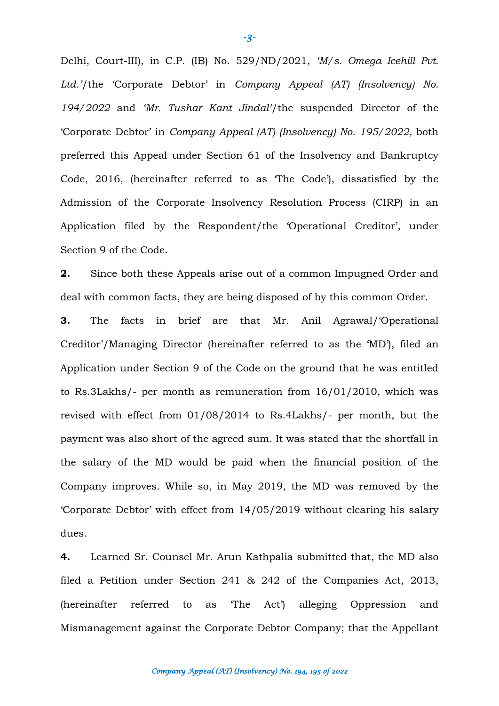Delhi, Court-III), in C.P. (IB) No. 529/ND/2021, *'M/s. Omega Icehill Pvt. Ltd.'*/the 'Corporate Debtor' in *Company Appeal (AT) (Insolvency) No. 194/2022* and *'Mr. Tushar Kant Jindal'*/the suspended Director of the 'Corporate Debtor' in *Company Appeal (AT) (Insolvency) No. 195/2022,* both preferred this Appeal under Section 61 of the Insolvency and Bankruptcy Code, 2016, (hereinafter referred to as 'The Code'), dissatisfied by the Admission of the Corporate Insolvency Resolution Process (CIRP) in an Application filed by the Respondent/the 'Operational Creditor', under Section 9 of the Code.

**2.** Since both these Appeals arise out of a common Impugned Order and deal with common facts, they are being disposed of by this common Order.

**3.** The facts in brief are that Mr. Anil Agrawal/'Operational Creditor'/Managing Director (hereinafter referred to as the 'MD'), filed an Application under Section 9 of the Code on the ground that he was entitled to Rs.3Lakhs/- per month as remuneration from 16/01/2010, which was revised with effect from 01/08/2014 to Rs.4Lakhs/- per month, but the payment was also short of the agreed sum. It was stated that the shortfall in the salary of the MD would be paid when the financial position of the Company improves. While so, in May 2019, the MD was removed by the 'Corporate Debtor' with effect from 14/05/2019 without clearing his salary dues.

**4.** Learned Sr. Counsel Mr. Arun Kathpalia submitted that, the MD also filed a Petition under Section 241 & 242 of the Companies Act, 2013, (hereinafter referred to as 'The Act') alleging Oppression and Mismanagement against the Corporate Debtor Company; that the Appellant

**-***3-*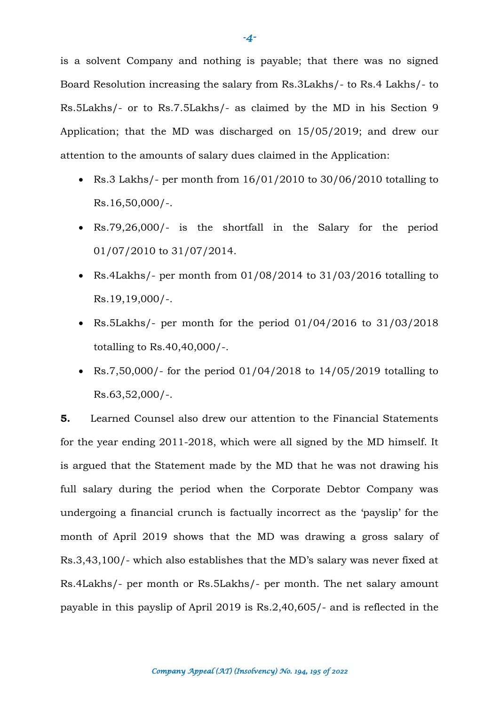is a solvent Company and nothing is payable; that there was no signed Board Resolution increasing the salary from Rs.3Lakhs/- to Rs.4 Lakhs/- to Rs.5Lakhs/- or to Rs.7.5Lakhs/- as claimed by the MD in his Section 9 Application; that the MD was discharged on 15/05/2019; and drew our attention to the amounts of salary dues claimed in the Application:

- Rs.3 Lakhs/- per month from 16/01/2010 to 30/06/2010 totalling to Rs.16,50,000/-.
- Rs.79,26,000/- is the shortfall in the Salary for the period 01/07/2010 to 31/07/2014.
- Rs.4Lakhs/- per month from 01/08/2014 to 31/03/2016 totalling to Rs.19,19,000/-.
- Rs.5Lakhs/- per month for the period 01/04/2016 to 31/03/2018 totalling to Rs.40,40,000/-.
- Rs.7,50,000/- for the period  $01/04/2018$  to  $14/05/2019$  totalling to Rs.63,52,000/-.

**5.** Learned Counsel also drew our attention to the Financial Statements for the year ending 2011-2018, which were all signed by the MD himself. It is argued that the Statement made by the MD that he was not drawing his full salary during the period when the Corporate Debtor Company was undergoing a financial crunch is factually incorrect as the 'payslip' for the month of April 2019 shows that the MD was drawing a gross salary of Rs.3,43,100/- which also establishes that the MD's salary was never fixed at Rs.4Lakhs/- per month or Rs.5Lakhs/- per month. The net salary amount payable in this payslip of April 2019 is Rs.2,40,605/- and is reflected in the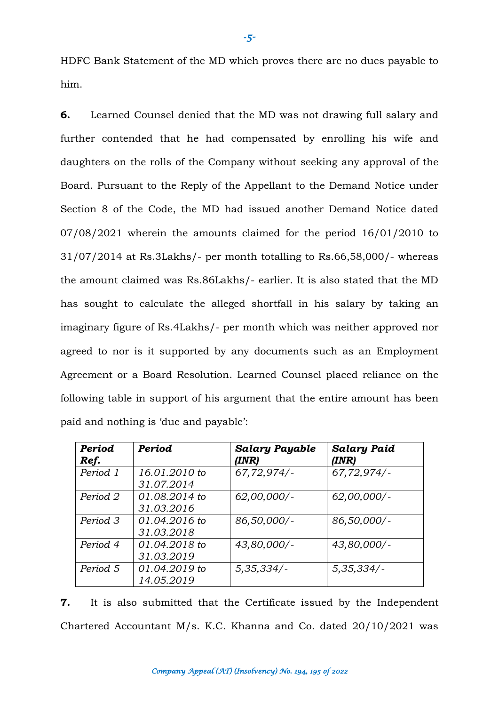HDFC Bank Statement of the MD which proves there are no dues payable to him.

**6.** Learned Counsel denied that the MD was not drawing full salary and further contended that he had compensated by enrolling his wife and daughters on the rolls of the Company without seeking any approval of the Board. Pursuant to the Reply of the Appellant to the Demand Notice under Section 8 of the Code, the MD had issued another Demand Notice dated 07/08/2021 wherein the amounts claimed for the period 16/01/2010 to 31/07/2014 at Rs.3Lakhs/- per month totalling to Rs.66,58,000/- whereas the amount claimed was Rs.86Lakhs/- earlier. It is also stated that the MD has sought to calculate the alleged shortfall in his salary by taking an imaginary figure of Rs.4Lakhs/- per month which was neither approved nor agreed to nor is it supported by any documents such as an Employment Agreement or a Board Resolution. Learned Counsel placed reliance on the following table in support of his argument that the entire amount has been paid and nothing is 'due and payable':

| Period<br>Ref. | Period          | <b>Salary Payable</b><br>(INR) | <b>Salary Paid</b><br>(INR) |
|----------------|-----------------|--------------------------------|-----------------------------|
| Period 1       | 16.01.2010 to   | $67,72,974/$ -                 | 67,72,974/                  |
|                | 31.07.2014      |                                |                             |
| Period 2       | 01.08.2014 to   | $62,00,000/$ -                 | $62,00,000/$ -              |
|                | 31.03.2016      |                                |                             |
| Period 3       | $01.04.2016$ to | 86,50,000/-                    | 86,50,000/-                 |
|                | 31.03.2018      |                                |                             |
| Period 4       | $01.04.2018$ to | $43,80,000/$ -                 | $43,80,000/$ -              |
|                | 31.03.2019      |                                |                             |
| Period 5       | $01.04.2019$ to | 5,35,334/                      | 5,35,334/                   |
|                | 14.05.2019      |                                |                             |

**7.** It is also submitted that the Certificate issued by the Independent Chartered Accountant M/s. K.C. Khanna and Co. dated 20/10/2021 was

**-***5-*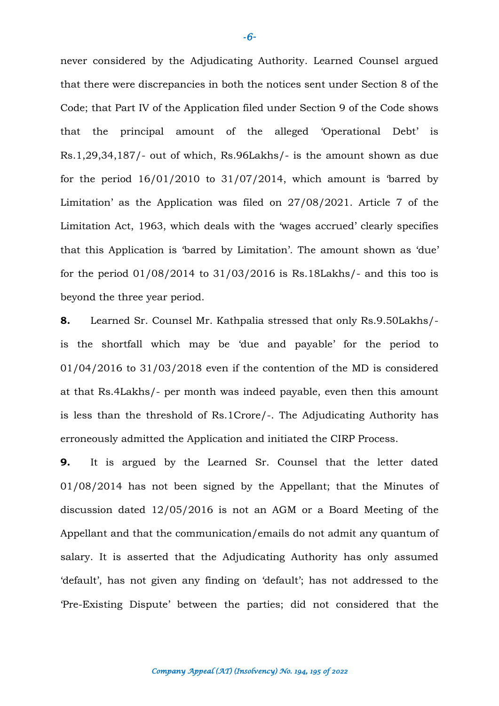never considered by the Adjudicating Authority. Learned Counsel argued that there were discrepancies in both the notices sent under Section 8 of the Code; that Part IV of the Application filed under Section 9 of the Code shows that the principal amount of the alleged 'Operational Debt' is Rs.1,29,34,187/- out of which, Rs.96Lakhs/- is the amount shown as due for the period  $16/01/2010$  to  $31/07/2014$ , which amount is 'barred by Limitation' as the Application was filed on 27/08/2021. Article 7 of the Limitation Act, 1963, which deals with the 'wages accrued' clearly specifies that this Application is 'barred by Limitation'. The amount shown as 'due' for the period  $01/08/2014$  to  $31/03/2016$  is Rs.18Lakhs/- and this too is beyond the three year period.

**8.** Learned Sr. Counsel Mr. Kathpalia stressed that only Rs.9.50Lakhs/ is the shortfall which may be 'due and payable' for the period to 01/04/2016 to 31/03/2018 even if the contention of the MD is considered at that Rs.4Lakhs/- per month was indeed payable, even then this amount is less than the threshold of Rs.1Crore/-. The Adjudicating Authority has erroneously admitted the Application and initiated the CIRP Process.

**9.** It is argued by the Learned Sr. Counsel that the letter dated 01/08/2014 has not been signed by the Appellant; that the Minutes of discussion dated 12/05/2016 is not an AGM or a Board Meeting of the Appellant and that the communication/emails do not admit any quantum of salary. It is asserted that the Adjudicating Authority has only assumed 'default', has not given any finding on 'default'; has not addressed to the 'Pre-Existing Dispute' between the parties; did not considered that the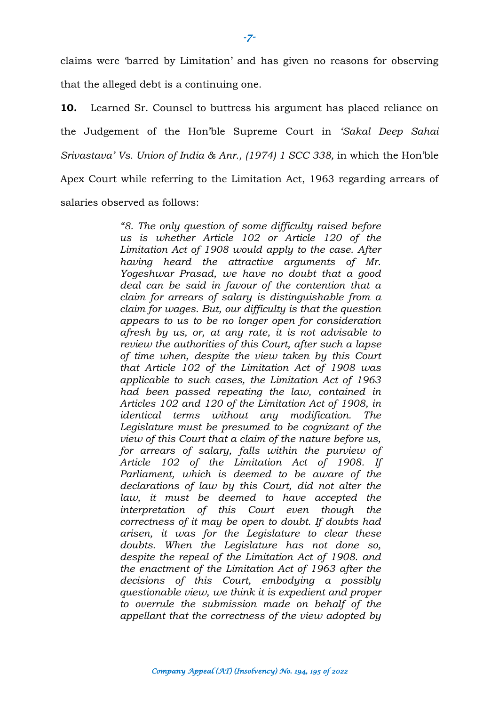claims were 'barred by Limitation' and has given no reasons for observing that the alleged debt is a continuing one.

**10.** Learned Sr. Counsel to buttress his argument has placed reliance on the Judgement of the Hon'ble Supreme Court in *'Sakal Deep Sahai Srivastava' Vs. Union of India & Anr., (1974) 1 SCC 338,* in which the Hon'ble Apex Court while referring to the Limitation Act, 1963 regarding arrears of salaries observed as follows:

> *"8. The only question of some difficulty raised before us is whether Article 102 or Article 120 of the Limitation Act of 1908 would apply to the case. After having heard the attractive arguments of Mr. Yogeshwar Prasad, we have no doubt that a good deal can be said in favour of the contention that a claim for arrears of salary is distinguishable from a claim for wages. But, our difficulty is that the question appears to us to be no longer open for consideration afresh by us, or, at any rate, it is not advisable to review the authorities of this Court, after such a lapse of time when, despite the view taken by this Court that Article 102 of the Limitation Act of 1908 was applicable to such cases, the Limitation Act of 1963 had been passed repeating the law, contained in Articles 102 and 120 of the Limitation Act of 1908, in identical terms without any modification. The Legislature must be presumed to be cognizant of the view of this Court that a claim of the nature before us, for arrears of salary, falls within the purview of Article 102 of the Limitation Act of 1908. If Parliament, which is deemed to be aware of the declarations of law by this Court, did not alter the law, it must be deemed to have accepted the interpretation of this Court even though the correctness of it may be open to doubt. If doubts had arisen, it was for the Legislature to clear these doubts. When the Legislature has not done so, despite the repeal of the Limitation Act of 1908. and the enactment of the Limitation Act of 1963 after the decisions of this Court, embodying a possibly questionable view, we think it is expedient and proper to overrule the submission made on behalf of the appellant that the correctness of the view adopted by*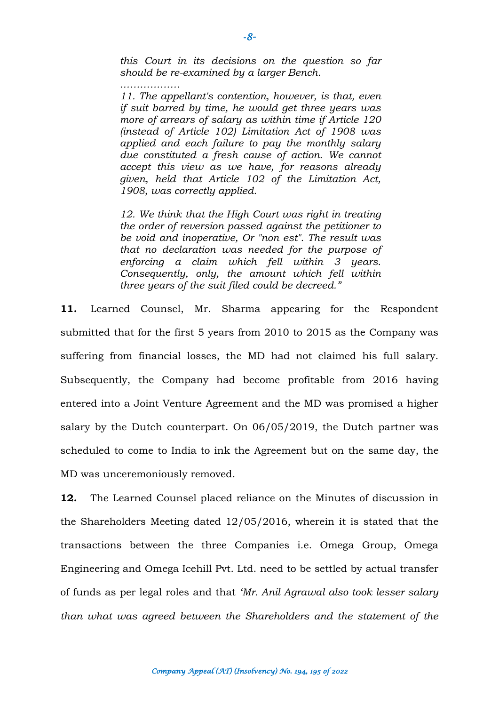*this Court in its decisions on the question so far should be re-examined by a larger Bench.*

*………………*

*11. The appellant's contention, however, is that, even if suit barred by time, he would get three years was more of arrears of salary as within time if Article 120 (instead of Article 102) Limitation Act of 1908 was applied and each failure to pay the monthly salary due constituted a fresh cause of action. We cannot accept this view as we have, for reasons already given, held that Article 102 of the Limitation Act, 1908, was correctly applied.*

*12. We think that the High Court was right in treating the order of reversion passed against the petitioner to be void and inoperative, Or "non est". The result was that no declaration was needed for the purpose of enforcing a claim which fell within 3 years. Consequently, only, the amount which fell within three years of the suit filed could be decreed."*

**11.** Learned Counsel, Mr. Sharma appearing for the Respondent submitted that for the first 5 years from 2010 to 2015 as the Company was suffering from financial losses, the MD had not claimed his full salary. Subsequently, the Company had become profitable from 2016 having entered into a Joint Venture Agreement and the MD was promised a higher salary by the Dutch counterpart. On 06/05/2019, the Dutch partner was scheduled to come to India to ink the Agreement but on the same day, the MD was unceremoniously removed.

**12.** The Learned Counsel placed reliance on the Minutes of discussion in the Shareholders Meeting dated 12/05/2016, wherein it is stated that the transactions between the three Companies i.e. Omega Group, Omega Engineering and Omega Icehill Pvt. Ltd. need to be settled by actual transfer of funds as per legal roles and that *'Mr. Anil Agrawal also took lesser salary than what was agreed between the Shareholders and the statement of the*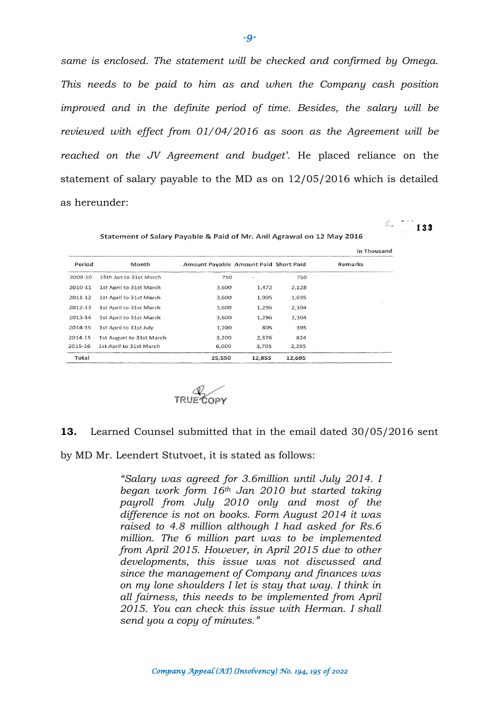*same is enclosed. The statement will be checked and confirmed by Omega. This needs to be paid to him as and when the Company cash position improved and in the definite period of time. Besides, the salary will be reviewed with effect from 01/04/2016 as soon as the Agreement will be reached on the JV Agreement and budget'.* He placed reliance on the statement of salary payable to the MD as on 12/05/2016 which is detailed as hereunder:

 $\mathbb{Z}$  133

Statement of Salary Payable & Paid of Mr. Anil Agrawal on 12 May 2016

|         |                          |                                       |        |        | In Thousand |
|---------|--------------------------|---------------------------------------|--------|--------|-------------|
| Period  | Month                    | Amount Payable Amount Paid Short Paid |        |        | Remarks     |
| 2009-10 | 15th Jan to 31st March   | 750                                   | $\sim$ | 750    |             |
| 2010-11 | 1st April to 31st March  | 3,600                                 | 1,472  | 2,128  |             |
| 2011-12 | 1st April to 31st March  | 3,600                                 | 1,905  | 1,695  |             |
| 2012-13 | 1st April to 31st March  | 3,600                                 | 1,296  | 2,304  |             |
| 2013-14 | 1st April to 31st March  | 3,600                                 | 1.296  | 2,304  |             |
| 2014-15 | 1st April to 31st July   | 1,200                                 | 805    | 395    |             |
| 2014-15 | 1st August to 31st March | 3,200                                 | 2,376  | 824    |             |
| 2015-16 | 1st April to 31st March  | 6,000                                 | 3,705  | 2,295  |             |
| Total   |                          | 25,550                                | 12,855 | 12,695 |             |



#### **13.** Learned Counsel submitted that in the email dated 30/05/2016 sent

by MD Mr. Leendert Stutvoet, it is stated as follows:

*"Salary was agreed for 3.6million until July 2014. I began work form 16th Jan 2010 but started taking payroll from July 2010 only and most of the difference is not on books. Form August 2014 it was raised to 4.8 million although I had asked for Rs.6 million. The 6 million part was to be implemented from April 2015. However, in April 2015 due to other developments, this issue was not discussed and since the management of Company and finances was on my lone shoulders I let is stay that way. I think in all fairness, this needs to be implemented from April 2015. You can check this issue with Herman. I shall send you a copy of minutes."*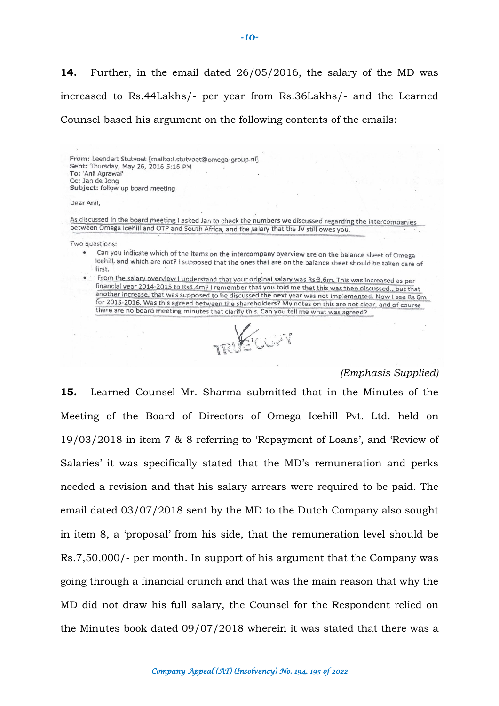**14.** Further, in the email dated 26/05/2016, the salary of the MD was increased to Rs.44Lakhs/- per year from Rs.36Lakhs/- and the Learned Counsel based his argument on the following contents of the emails:

From: Leendert Stutvoet [mailto:l.stutvoet@omega-group.nl] Sent: Thursday, May 26, 2016 5:16 PM To: 'Anil Agrawal' Cc: Jan de Jong Subject: follow up board meeting

Dear Anil,

As discussed in the board meeting I asked Jan to check the numbers we discussed regarding the intercompanies between Omega Icehill and OTP and South Africa, and the salary that the JV still owes you.

Two questions:

Can you indicate which of the items on the intercompany overview are on the balance sheet of Omega Icehill, and which are not? I supposed that the ones that are on the balance sheet should be taken care of first.

From the salary overview I understand that your original salary was Rs 3,6m. This was increased as per financial year 2014-2015 to Rs4,4m? I remember that you told me that this was then discussed., but that another increase, that was supposed to be discussed the next year was not implemented. Now I see Rs 6m for 2015-2016. Was this agreed between the shareholders? My notes on this are not clear, and of course there are no board meeting minutes that clarify this. Can you tell me what was agreed?

 $216668$ 

#### *(Emphasis Supplied)*

**15.** Learned Counsel Mr. Sharma submitted that in the Minutes of the Meeting of the Board of Directors of Omega Icehill Pvt. Ltd. held on 19/03/2018 in item 7 & 8 referring to 'Repayment of Loans', and 'Review of Salaries' it was specifically stated that the MD's remuneration and perks needed a revision and that his salary arrears were required to be paid. The email dated 03/07/2018 sent by the MD to the Dutch Company also sought in item 8, a 'proposal' from his side, that the remuneration level should be Rs.7,50,000/- per month. In support of his argument that the Company was going through a financial crunch and that was the main reason that why the MD did not draw his full salary, the Counsel for the Respondent relied on the Minutes book dated 09/07/2018 wherein it was stated that there was a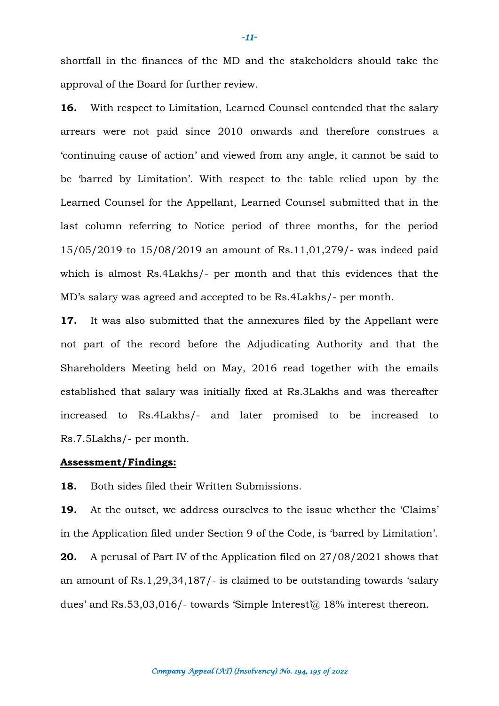shortfall in the finances of the MD and the stakeholders should take the approval of the Board for further review.

**16.** With respect to Limitation, Learned Counsel contended that the salary arrears were not paid since 2010 onwards and therefore construes a 'continuing cause of action' and viewed from any angle, it cannot be said to be 'barred by Limitation'. With respect to the table relied upon by the Learned Counsel for the Appellant, Learned Counsel submitted that in the last column referring to Notice period of three months, for the period 15/05/2019 to 15/08/2019 an amount of Rs.11,01,279/- was indeed paid which is almost Rs.4Lakhs/- per month and that this evidences that the MD's salary was agreed and accepted to be Rs.4Lakhs/- per month.

**17.** It was also submitted that the annexures filed by the Appellant were not part of the record before the Adjudicating Authority and that the Shareholders Meeting held on May, 2016 read together with the emails established that salary was initially fixed at Rs.3Lakhs and was thereafter increased to Rs.4Lakhs/- and later promised to be increased to Rs.7.5Lakhs/- per month.

#### **Assessment/Findings:**

**18.** Both sides filed their Written Submissions.

**19.** At the outset, we address ourselves to the issue whether the 'Claims' in the Application filed under Section 9 of the Code, is 'barred by Limitation'. **20.** A perusal of Part IV of the Application filed on 27/08/2021 shows that an amount of Rs.1,29,34,187/- is claimed to be outstanding towards 'salary dues' and Rs.53,03,016/- towards 'Simple Interest'@ 18% interest thereon.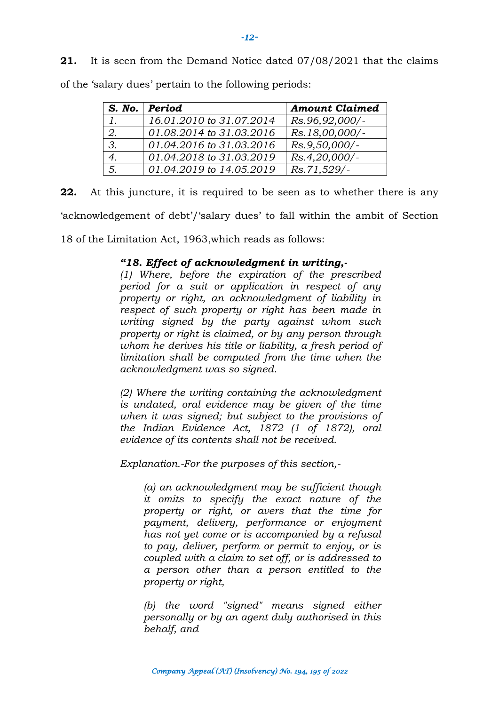**21.** It is seen from the Demand Notice dated 07/08/2021 that the claims

|    | S. No. Period            | <b>Amount Claimed</b> |
|----|--------------------------|-----------------------|
| 1. | 16.01.2010 to 31.07.2014 | Rs.96,92,000/-        |
|    | 01.08.2014 to 31.03.2016 | Rs.18,00,000/-        |
| 3. | 01.04.2016 to 31.03.2016 | Rs.9,50,000/-         |
|    | 01.04.2018 to 31.03.2019 | Rs.4,20,000/-         |
| 5. | 01.04.2019 to 14.05.2019 | Rs.71,529/-           |

of the 'salary dues' pertain to the following periods:

**22.** At this juncture, it is required to be seen as to whether there is any 'acknowledgement of debt'/'salary dues' to fall within the ambit of Section

18 of the Limitation Act, 1963,which reads as follows:

# *"18. Effect of acknowledgment in writing,-*

*(1) Where, before the expiration of the prescribed period for a suit or application in respect of any property or right, an acknowledgment of liability in respect of such property or right has been made in writing signed by the party against whom such property or right is claimed, or by any person through whom he derives his title or liability, a fresh period of limitation shall be computed from the time when the acknowledgment was so signed.*

*(2) Where the writing containing the acknowledgment is undated, oral evidence may be given of the time when it was signed; but subject to the provisions of the Indian Evidence Act, 1872 (1 of 1872), oral evidence of its contents shall not be received.*

*Explanation.-For the purposes of this section,-*

*(a) an acknowledgment may be sufficient though it omits to specify the exact nature of the property or right, or avers that the time for payment, delivery, performance or enjoyment has not yet come or is accompanied by a refusal to pay, deliver, perform or permit to enjoy, or is coupled with a claim to set off, or is addressed to a person other than a person entitled to the property or right,*

*(b) the word "signed" means signed either personally or by an agent duly authorised in this behalf, and*

**-***12-*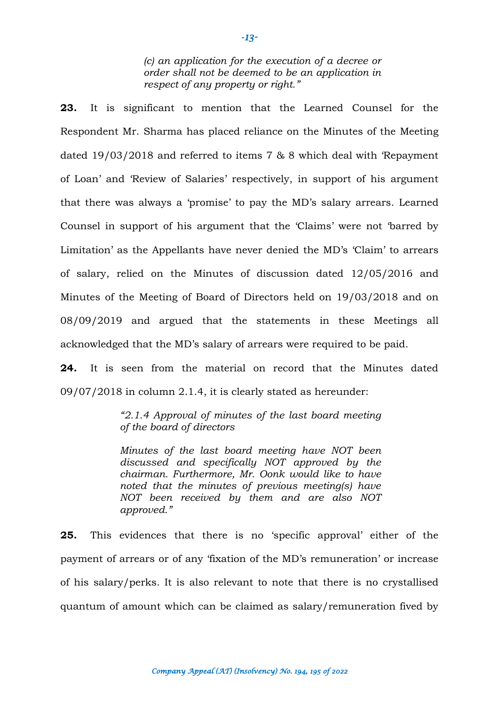*(c) an application for the execution of a decree or order shall not be deemed to be an application in respect of any property or right."*

**23.** It is significant to mention that the Learned Counsel for the Respondent Mr. Sharma has placed reliance on the Minutes of the Meeting dated 19/03/2018 and referred to items 7 & 8 which deal with 'Repayment of Loan' and 'Review of Salaries' respectively, in support of his argument that there was always a 'promise' to pay the MD's salary arrears. Learned Counsel in support of his argument that the 'Claims' were not 'barred by Limitation' as the Appellants have never denied the MD's 'Claim' to arrears of salary, relied on the Minutes of discussion dated 12/05/2016 and Minutes of the Meeting of Board of Directors held on 19/03/2018 and on 08/09/2019 and argued that the statements in these Meetings all acknowledged that the MD's salary of arrears were required to be paid.

**24.** It is seen from the material on record that the Minutes dated 09/07/2018 in column 2.1.4, it is clearly stated as hereunder:

> *"2.1.4 Approval of minutes of the last board meeting of the board of directors*

> *Minutes of the last board meeting have NOT been discussed and specifically NOT approved by the chairman. Furthermore, Mr. Oonk would like to have noted that the minutes of previous meeting(s) have NOT been received by them and are also NOT approved."*

**25.** This evidences that there is no 'specific approval' either of the payment of arrears or of any 'fixation of the MD's remuneration' or increase of his salary/perks. It is also relevant to note that there is no crystallised quantum of amount which can be claimed as salary/remuneration fived by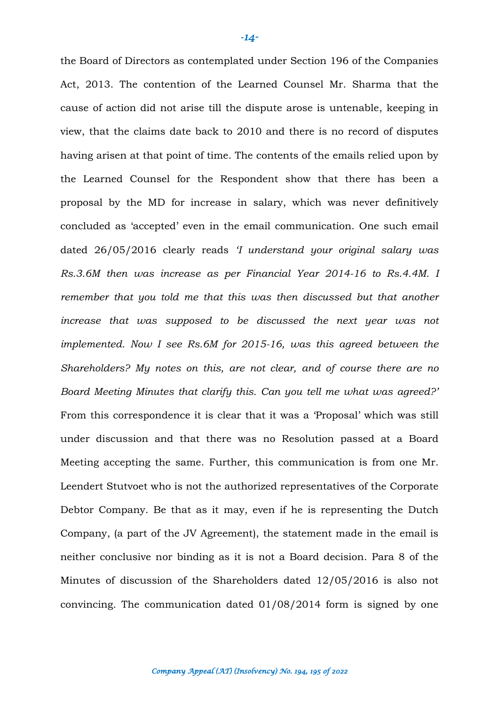the Board of Directors as contemplated under Section 196 of the Companies Act, 2013. The contention of the Learned Counsel Mr. Sharma that the cause of action did not arise till the dispute arose is untenable, keeping in view, that the claims date back to 2010 and there is no record of disputes having arisen at that point of time. The contents of the emails relied upon by the Learned Counsel for the Respondent show that there has been a proposal by the MD for increase in salary, which was never definitively concluded as 'accepted' even in the email communication. One such email dated 26/05/2016 clearly reads *'I understand your original salary was Rs.3.6M then was increase as per Financial Year 2014-16 to Rs.4.4M. I remember that you told me that this was then discussed but that another increase that was supposed to be discussed the next year was not implemented. Now I see Rs.6M for 2015-16, was this agreed between the Shareholders? My notes on this, are not clear, and of course there are no Board Meeting Minutes that clarify this. Can you tell me what was agreed?'* From this correspondence it is clear that it was a 'Proposal' which was still under discussion and that there was no Resolution passed at a Board Meeting accepting the same. Further, this communication is from one Mr. Leendert Stutvoet who is not the authorized representatives of the Corporate Debtor Company. Be that as it may, even if he is representing the Dutch Company, (a part of the JV Agreement), the statement made in the email is neither conclusive nor binding as it is not a Board decision. Para 8 of the Minutes of discussion of the Shareholders dated 12/05/2016 is also not convincing. The communication dated 01/08/2014 form is signed by one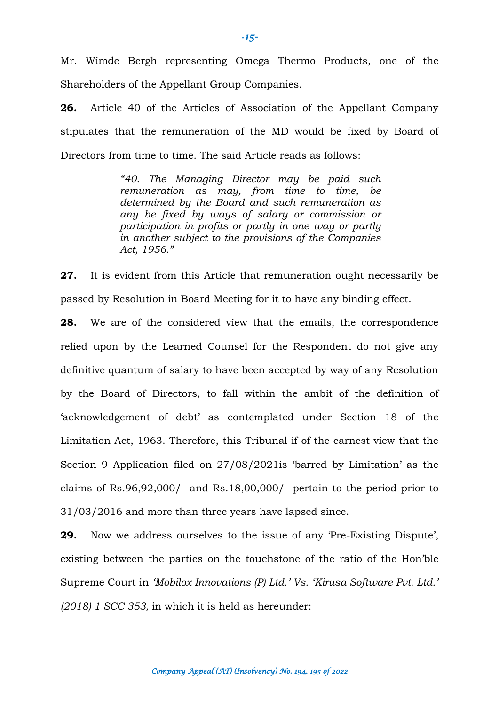Mr. Wimde Bergh representing Omega Thermo Products, one of the Shareholders of the Appellant Group Companies.

**26.** Article 40 of the Articles of Association of the Appellant Company stipulates that the remuneration of the MD would be fixed by Board of Directors from time to time. The said Article reads as follows:

> *"40. The Managing Director may be paid such remuneration as may, from time to time, be determined by the Board and such remuneration as any be fixed by ways of salary or commission or participation in profits or partly in one way or partly in another subject to the provisions of the Companies Act, 1956."*

**27.** It is evident from this Article that remuneration ought necessarily be passed by Resolution in Board Meeting for it to have any binding effect.

**28.** We are of the considered view that the emails, the correspondence relied upon by the Learned Counsel for the Respondent do not give any definitive quantum of salary to have been accepted by way of any Resolution by the Board of Directors, to fall within the ambit of the definition of 'acknowledgement of debt' as contemplated under Section 18 of the Limitation Act, 1963. Therefore, this Tribunal if of the earnest view that the Section 9 Application filed on 27/08/2021is 'barred by Limitation' as the claims of Rs.96,92,000/- and Rs.18,00,000/- pertain to the period prior to 31/03/2016 and more than three years have lapsed since.

**29.** Now we address ourselves to the issue of any 'Pre-Existing Dispute', existing between the parties on the touchstone of the ratio of the Hon'ble Supreme Court in *'Mobilox Innovations (P) Ltd.' Vs. 'Kirusa Software Pvt. Ltd.' (2018) 1 SCC 353,* in which it is held as hereunder:

**-***15-*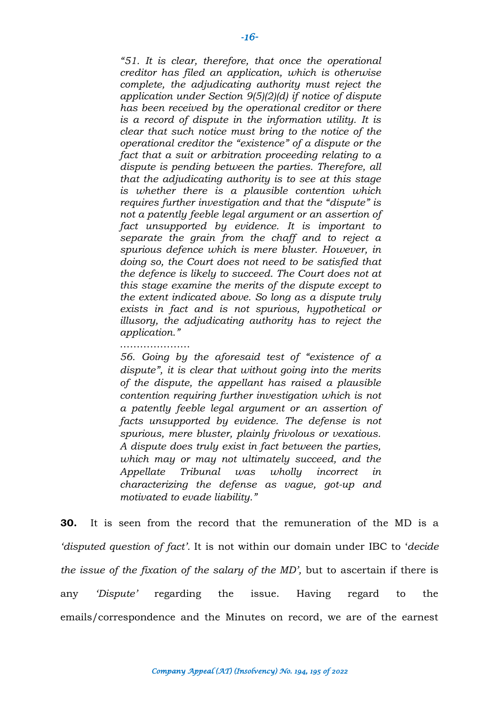*"51. It is clear, therefore, that once the operational creditor has filed an application, which is otherwise complete, the adjudicating authority must reject the application under Section 9(5)(2)(d) if notice of dispute has been received by the operational creditor or there is a record of dispute in the information utility. It is clear that such notice must bring to the notice of the operational creditor the "existence" of a dispute or the fact that a suit or arbitration proceeding relating to a dispute is pending between the parties. Therefore, all that the adjudicating authority is to see at this stage is whether there is a plausible contention which requires further investigation and that the "dispute" is not a patently feeble legal argument or an assertion of fact unsupported by evidence. It is important to separate the grain from the chaff and to reject a spurious defence which is mere bluster. However, in doing so, the Court does not need to be satisfied that the defence is likely to succeed. The Court does not at this stage examine the merits of the dispute except to the extent indicated above. So long as a dispute truly exists in fact and is not spurious, hypothetical or illusory, the adjudicating authority has to reject the application."*

#### ……………………

*56. Going by the aforesaid test of "existence of a dispute", it is clear that without going into the merits of the dispute, the appellant has raised a plausible contention requiring further investigation which is not a patently feeble legal argument or an assertion of facts unsupported by evidence. The defense is not spurious, mere bluster, plainly frivolous or vexatious. A dispute does truly exist in fact between the parties, which may or may not ultimately succeed, and the Appellate Tribunal was wholly incorrect in characterizing the defense as vague, got-up and motivated to evade liability."*

**30.** It is seen from the record that the remuneration of the MD is a *'disputed question of fact'.* It is not within our domain under IBC to '*decide the issue of the fixation of the salary of the MD'*, but to ascertain if there is any *'Dispute'* regarding the issue. Having regard to the emails/correspondence and the Minutes on record, we are of the earnest